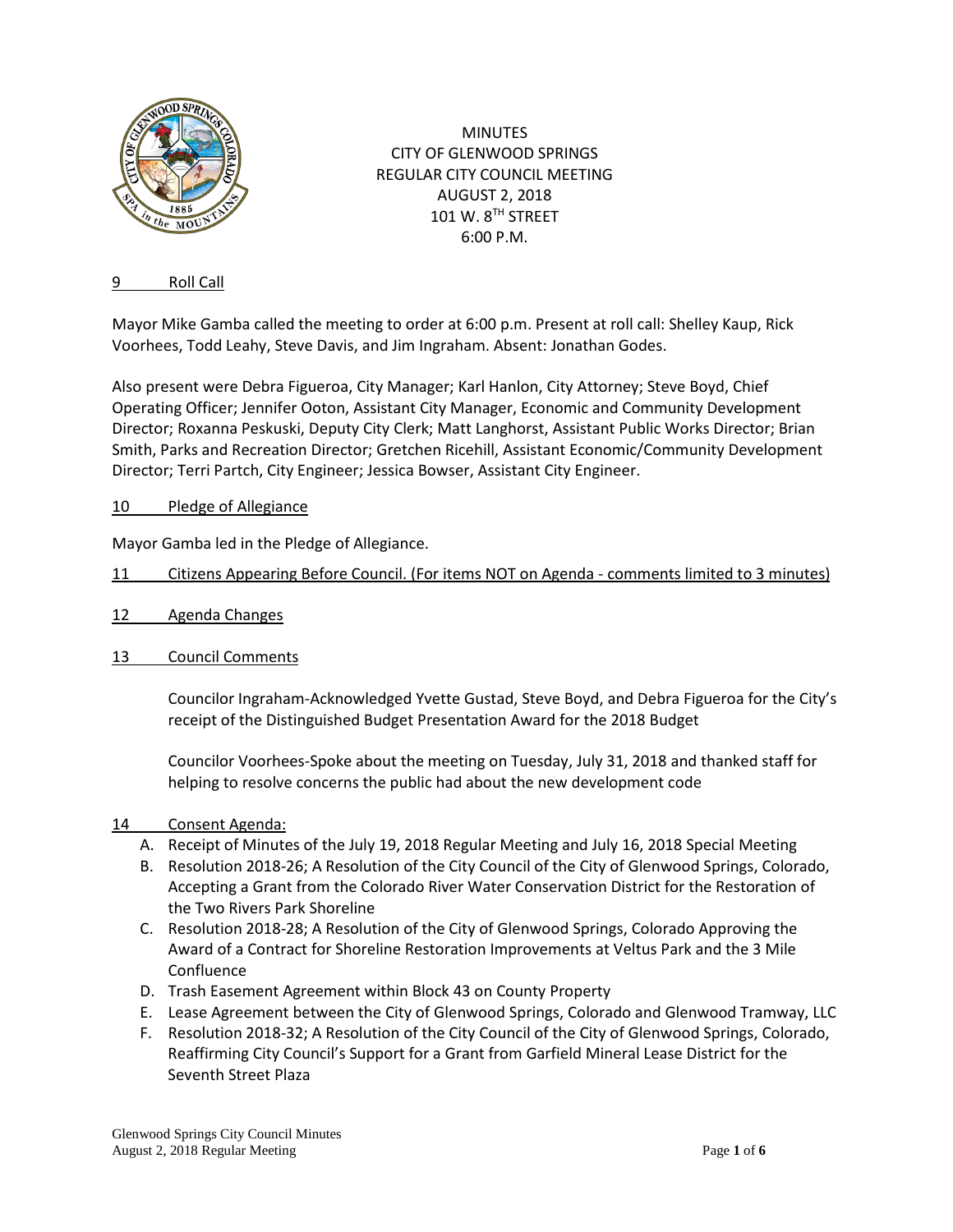

MINUTES CITY OF GLENWOOD SPRINGS REGULAR CITY COUNCIL MEETING AUGUST 2, 2018 101 W. 8TH STREET 6:00 P.M.

### 9 Roll Call

Mayor Mike Gamba called the meeting to order at 6:00 p.m. Present at roll call: Shelley Kaup, Rick Voorhees, Todd Leahy, Steve Davis, and Jim Ingraham. Absent: Jonathan Godes.

Also present were Debra Figueroa, City Manager; Karl Hanlon, City Attorney; Steve Boyd, Chief Operating Officer; Jennifer Ooton, Assistant City Manager, Economic and Community Development Director; Roxanna Peskuski, Deputy City Clerk; Matt Langhorst, Assistant Public Works Director; Brian Smith, Parks and Recreation Director; Gretchen Ricehill, Assistant Economic/Community Development Director; Terri Partch, City Engineer; Jessica Bowser, Assistant City Engineer.

## 10 Pledge of Allegiance

Mayor Gamba led in the Pledge of Allegiance.

## 11 Citizens Appearing Before Council. (For items NOT on Agenda - comments limited to 3 minutes)

- 12 Agenda Changes
- 13 Council Comments

Councilor Ingraham-Acknowledged Yvette Gustad, Steve Boyd, and Debra Figueroa for the City's receipt of the Distinguished Budget Presentation Award for the 2018 Budget

Councilor Voorhees-Spoke about the meeting on Tuesday, July 31, 2018 and thanked staff for helping to resolve concerns the public had about the new development code

#### 14 Consent Agenda:

- A. Receipt of Minutes of the July 19, 2018 Regular Meeting and July 16, 2018 Special Meeting
- B. Resolution 2018-26; A Resolution of the City Council of the City of Glenwood Springs, Colorado, Accepting a Grant from the Colorado River Water Conservation District for the Restoration of the Two Rivers Park Shoreline
- C. Resolution 2018-28; A Resolution of the City of Glenwood Springs, Colorado Approving the Award of a Contract for Shoreline Restoration Improvements at Veltus Park and the 3 Mile Confluence
- D. Trash Easement Agreement within Block 43 on County Property
- E. Lease Agreement between the City of Glenwood Springs, Colorado and Glenwood Tramway, LLC
- F. Resolution 2018-32; A Resolution of the City Council of the City of Glenwood Springs, Colorado, Reaffirming City Council's Support for a Grant from Garfield Mineral Lease District for the Seventh Street Plaza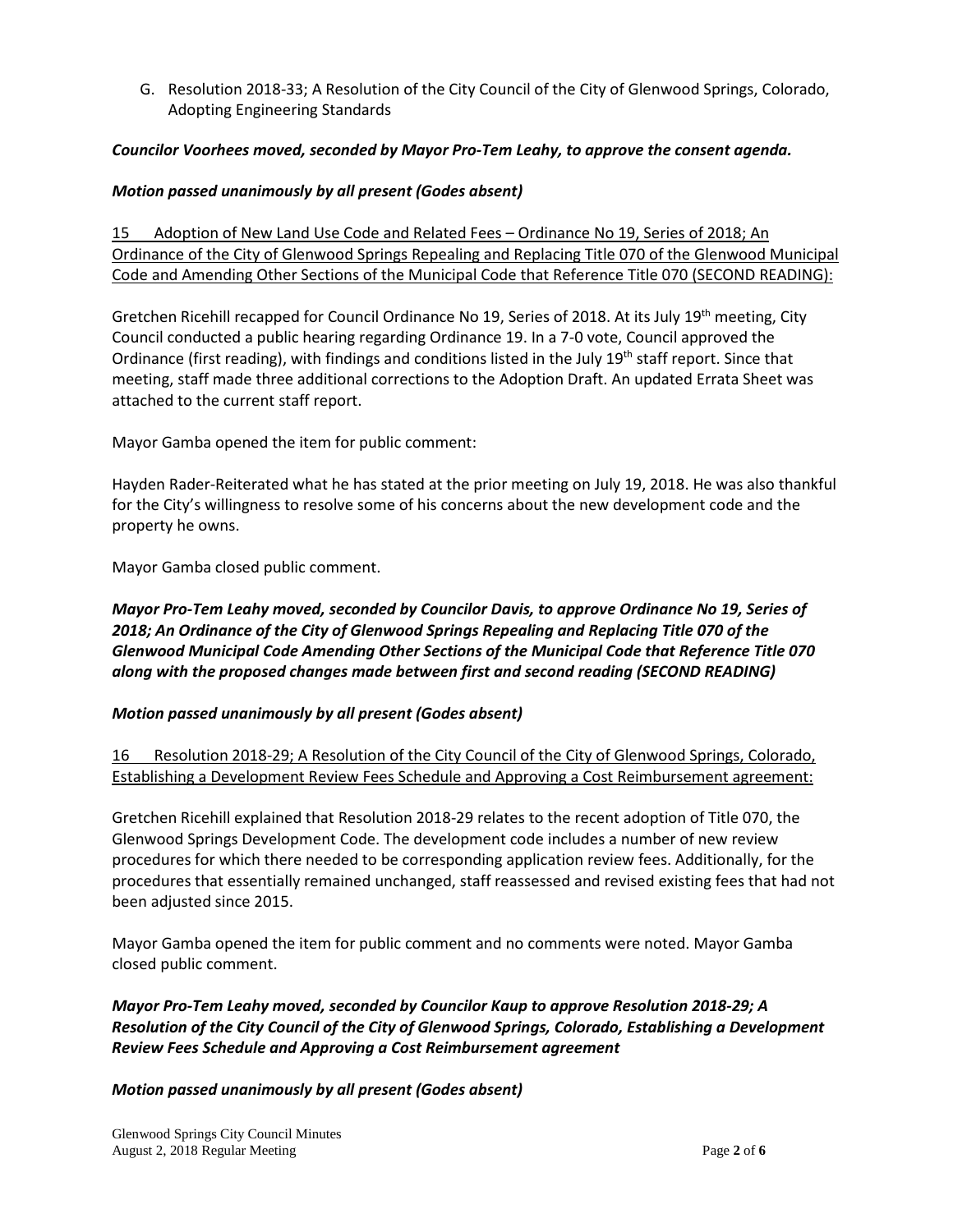G. Resolution 2018-33; A Resolution of the City Council of the City of Glenwood Springs, Colorado, Adopting Engineering Standards

## *Councilor Voorhees moved, seconded by Mayor Pro-Tem Leahy, to approve the consent agenda.*

## *Motion passed unanimously by all present (Godes absent)*

15 Adoption of New Land Use Code and Related Fees – Ordinance No 19, Series of 2018; An Ordinance of the City of Glenwood Springs Repealing and Replacing Title 070 of the Glenwood Municipal Code and Amending Other Sections of the Municipal Code that Reference Title 070 (SECOND READING):

Gretchen Ricehill recapped for Council Ordinance No 19, Series of 2018. At its July 19<sup>th</sup> meeting, City Council conducted a public hearing regarding Ordinance 19. In a 7-0 vote, Council approved the Ordinance (first reading), with findings and conditions listed in the July 19<sup>th</sup> staff report. Since that meeting, staff made three additional corrections to the Adoption Draft. An updated Errata Sheet was attached to the current staff report.

Mayor Gamba opened the item for public comment:

Hayden Rader-Reiterated what he has stated at the prior meeting on July 19, 2018. He was also thankful for the City's willingness to resolve some of his concerns about the new development code and the property he owns.

Mayor Gamba closed public comment.

# *Mayor Pro-Tem Leahy moved, seconded by Councilor Davis, to approve Ordinance No 19, Series of 2018; An Ordinance of the City of Glenwood Springs Repealing and Replacing Title 070 of the Glenwood Municipal Code Amending Other Sections of the Municipal Code that Reference Title 070 along with the proposed changes made between first and second reading (SECOND READING)*

# *Motion passed unanimously by all present (Godes absent)*

16 Resolution 2018-29; A Resolution of the City Council of the City of Glenwood Springs, Colorado, Establishing a Development Review Fees Schedule and Approving a Cost Reimbursement agreement:

Gretchen Ricehill explained that Resolution 2018-29 relates to the recent adoption of Title 070, the Glenwood Springs Development Code. The development code includes a number of new review procedures for which there needed to be corresponding application review fees. Additionally, for the procedures that essentially remained unchanged, staff reassessed and revised existing fees that had not been adjusted since 2015.

Mayor Gamba opened the item for public comment and no comments were noted. Mayor Gamba closed public comment.

*Mayor Pro-Tem Leahy moved, seconded by Councilor Kaup to approve Resolution 2018-29; A Resolution of the City Council of the City of Glenwood Springs, Colorado, Establishing a Development Review Fees Schedule and Approving a Cost Reimbursement agreement*

#### *Motion passed unanimously by all present (Godes absent)*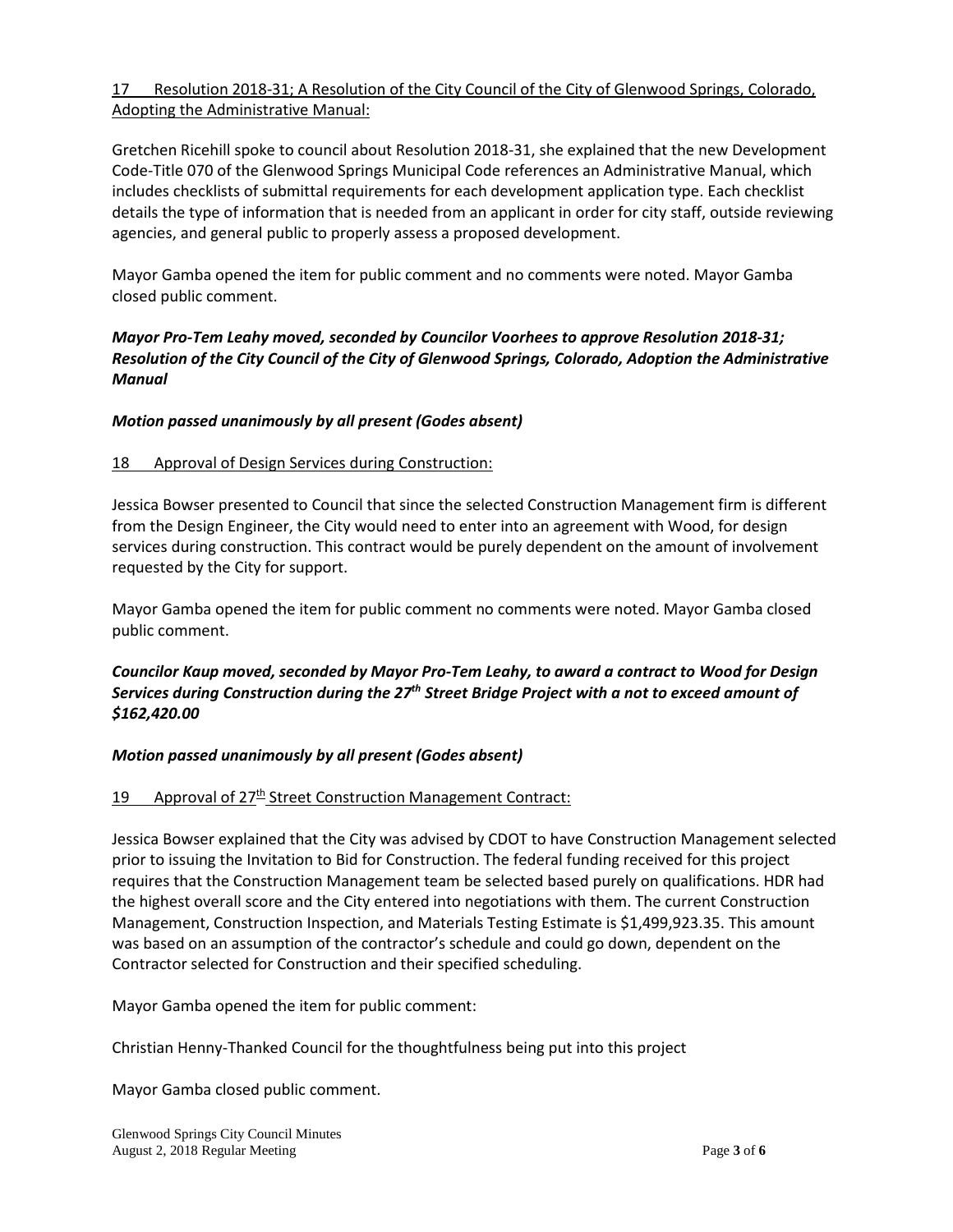# 17 Resolution 2018-31; A Resolution of the City Council of the City of Glenwood Springs, Colorado, Adopting the Administrative Manual:

Gretchen Ricehill spoke to council about Resolution 2018-31, she explained that the new Development Code-Title 070 of the Glenwood Springs Municipal Code references an Administrative Manual, which includes checklists of submittal requirements for each development application type. Each checklist details the type of information that is needed from an applicant in order for city staff, outside reviewing agencies, and general public to properly assess a proposed development.

Mayor Gamba opened the item for public comment and no comments were noted. Mayor Gamba closed public comment.

## *Mayor Pro-Tem Leahy moved, seconded by Councilor Voorhees to approve Resolution 2018-31; Resolution of the City Council of the City of Glenwood Springs, Colorado, Adoption the Administrative Manual*

## *Motion passed unanimously by all present (Godes absent)*

#### 18 Approval of Design Services during Construction:

Jessica Bowser presented to Council that since the selected Construction Management firm is different from the Design Engineer, the City would need to enter into an agreement with Wood, for design services during construction. This contract would be purely dependent on the amount of involvement requested by the City for support.

Mayor Gamba opened the item for public comment no comments were noted. Mayor Gamba closed public comment.

# *Councilor Kaup moved, seconded by Mayor Pro-Tem Leahy, to award a contract to Wood for Design Services during Construction during the 27th Street Bridge Project with a not to exceed amount of \$162,420.00*

#### *Motion passed unanimously by all present (Godes absent)*

#### 19 Approval of 27<sup>th</sup> Street Construction Management Contract:

Jessica Bowser explained that the City was advised by CDOT to have Construction Management selected prior to issuing the Invitation to Bid for Construction. The federal funding received for this project requires that the Construction Management team be selected based purely on qualifications. HDR had the highest overall score and the City entered into negotiations with them. The current Construction Management, Construction Inspection, and Materials Testing Estimate is \$1,499,923.35. This amount was based on an assumption of the contractor's schedule and could go down, dependent on the Contractor selected for Construction and their specified scheduling.

Mayor Gamba opened the item for public comment:

Christian Henny-Thanked Council for the thoughtfulness being put into this project

Mayor Gamba closed public comment.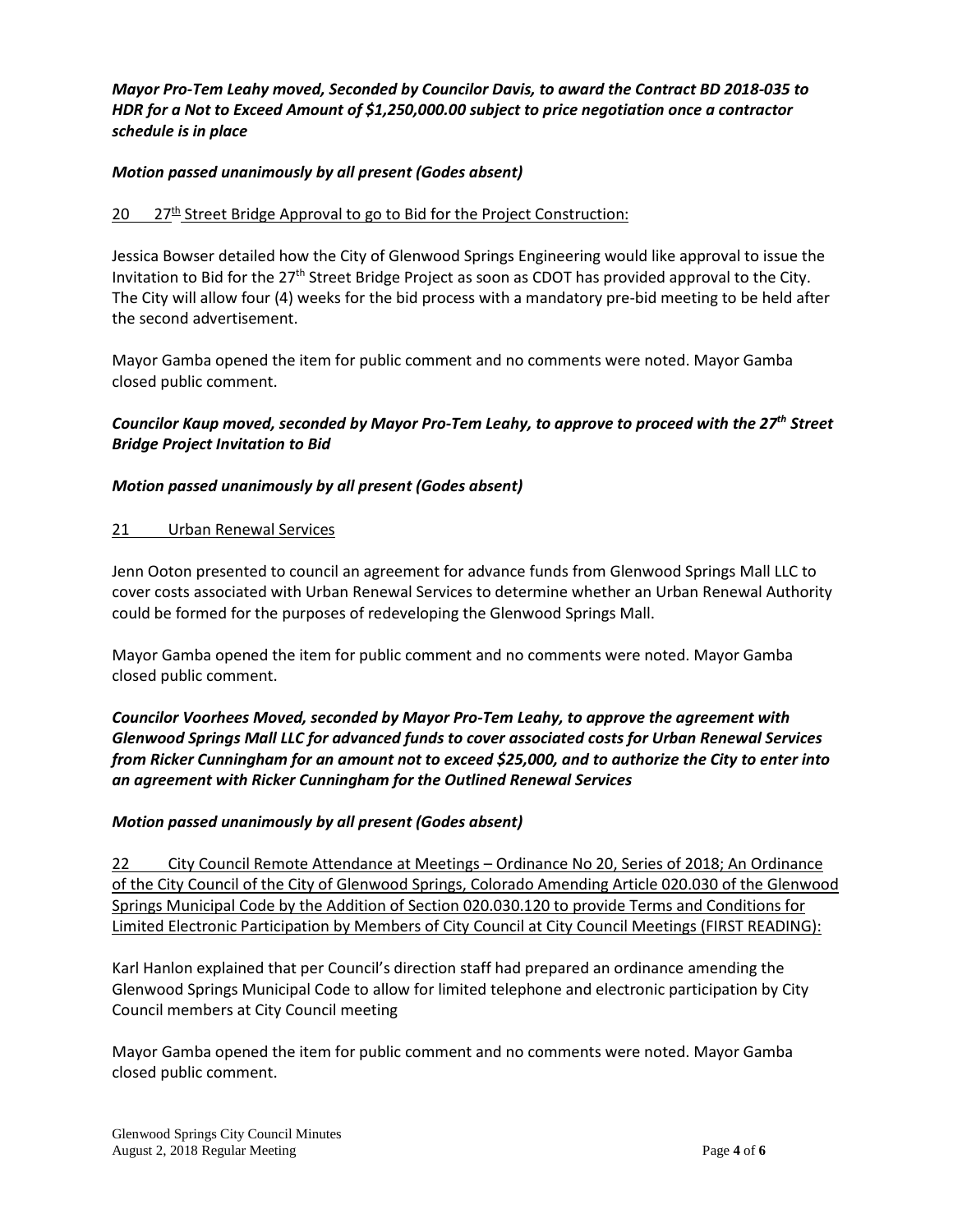# *Mayor Pro-Tem Leahy moved, Seconded by Councilor Davis, to award the Contract BD 2018-035 to HDR for a Not to Exceed Amount of \$1,250,000.00 subject to price negotiation once a contractor schedule is in place*

## *Motion passed unanimously by all present (Godes absent)*

## $20$  27<sup>th</sup> Street Bridge Approval to go to Bid for the Project Construction:

Jessica Bowser detailed how the City of Glenwood Springs Engineering would like approval to issue the Invitation to Bid for the 27th Street Bridge Project as soon as CDOT has provided approval to the City. The City will allow four (4) weeks for the bid process with a mandatory pre-bid meeting to be held after the second advertisement.

Mayor Gamba opened the item for public comment and no comments were noted. Mayor Gamba closed public comment.

## *Councilor Kaup moved, seconded by Mayor Pro-Tem Leahy, to approve to proceed with the 27th Street Bridge Project Invitation to Bid*

#### *Motion passed unanimously by all present (Godes absent)*

#### 21 Urban Renewal Services

Jenn Ooton presented to council an agreement for advance funds from Glenwood Springs Mall LLC to cover costs associated with Urban Renewal Services to determine whether an Urban Renewal Authority could be formed for the purposes of redeveloping the Glenwood Springs Mall.

Mayor Gamba opened the item for public comment and no comments were noted. Mayor Gamba closed public comment.

*Councilor Voorhees Moved, seconded by Mayor Pro-Tem Leahy, to approve the agreement with Glenwood Springs Mall LLC for advanced funds to cover associated costs for Urban Renewal Services from Ricker Cunningham for an amount not to exceed \$25,000, and to authorize the City to enter into an agreement with Ricker Cunningham for the Outlined Renewal Services*

#### *Motion passed unanimously by all present (Godes absent)*

22 City Council Remote Attendance at Meetings – Ordinance No 20, Series of 2018; An Ordinance of the City Council of the City of Glenwood Springs, Colorado Amending Article 020.030 of the Glenwood Springs Municipal Code by the Addition of Section 020.030.120 to provide Terms and Conditions for Limited Electronic Participation by Members of City Council at City Council Meetings (FIRST READING):

Karl Hanlon explained that per Council's direction staff had prepared an ordinance amending the Glenwood Springs Municipal Code to allow for limited telephone and electronic participation by City Council members at City Council meeting

Mayor Gamba opened the item for public comment and no comments were noted. Mayor Gamba closed public comment.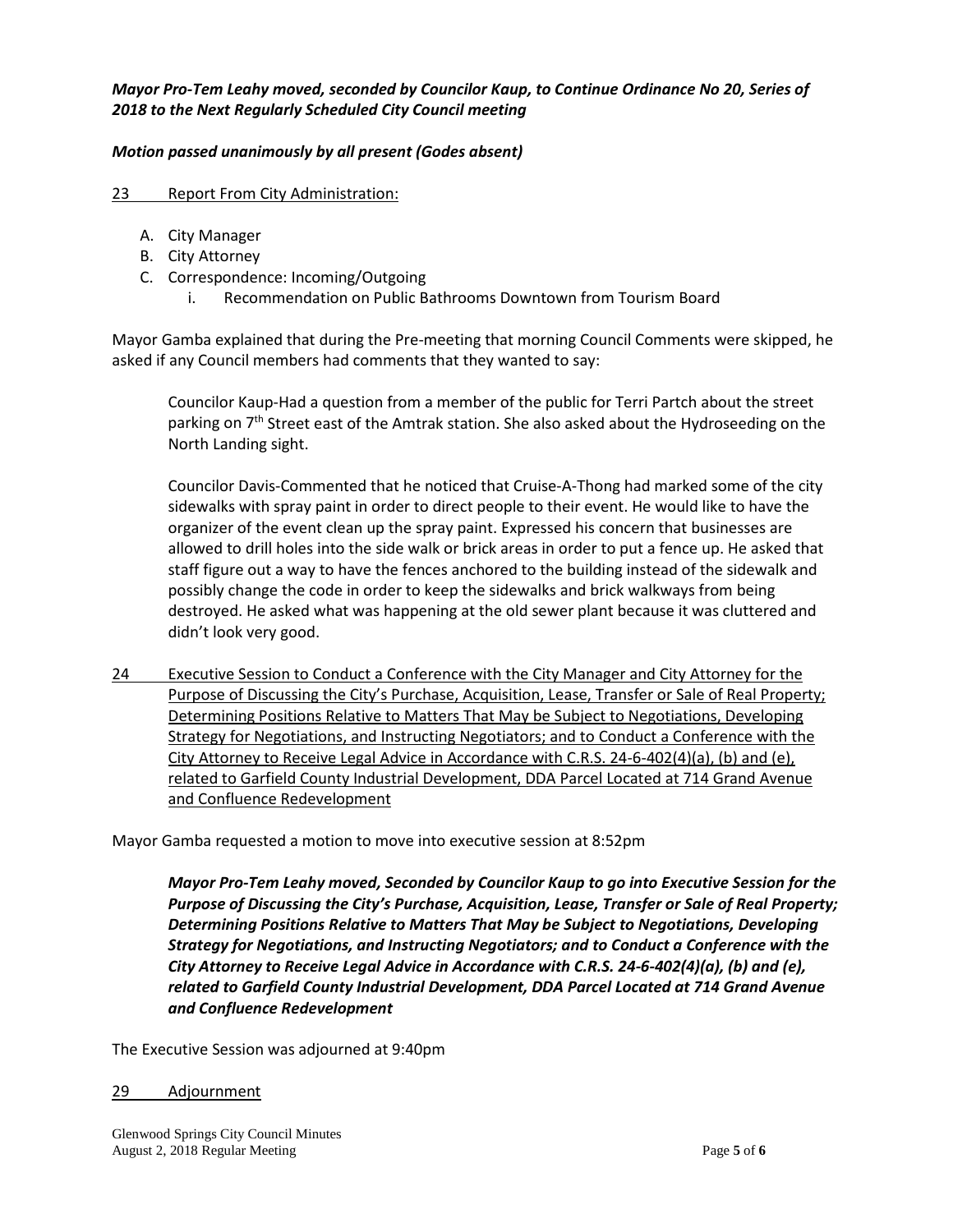### *Mayor Pro-Tem Leahy moved, seconded by Councilor Kaup, to Continue Ordinance No 20, Series of 2018 to the Next Regularly Scheduled City Council meeting*

### *Motion passed unanimously by all present (Godes absent)*

#### 23 Report From City Administration:

- A. City Manager
- B. City Attorney
- C. Correspondence: Incoming/Outgoing
	- i. Recommendation on Public Bathrooms Downtown from Tourism Board

Mayor Gamba explained that during the Pre-meeting that morning Council Comments were skipped, he asked if any Council members had comments that they wanted to say:

Councilor Kaup-Had a question from a member of the public for Terri Partch about the street parking on 7<sup>th</sup> Street east of the Amtrak station. She also asked about the Hydroseeding on the North Landing sight.

Councilor Davis-Commented that he noticed that Cruise-A-Thong had marked some of the city sidewalks with spray paint in order to direct people to their event. He would like to have the organizer of the event clean up the spray paint. Expressed his concern that businesses are allowed to drill holes into the side walk or brick areas in order to put a fence up. He asked that staff figure out a way to have the fences anchored to the building instead of the sidewalk and possibly change the code in order to keep the sidewalks and brick walkways from being destroyed. He asked what was happening at the old sewer plant because it was cluttered and didn't look very good.

24 Executive Session to Conduct a Conference with the City Manager and City Attorney for the Purpose of Discussing the City's Purchase, Acquisition, Lease, Transfer or Sale of Real Property; Determining Positions Relative to Matters That May be Subject to Negotiations, Developing Strategy for Negotiations, and Instructing Negotiators; and to Conduct a Conference with the City Attorney to Receive Legal Advice in Accordance with C.R.S. 24-6-402(4)(a), (b) and (e), related to Garfield County Industrial Development, DDA Parcel Located at 714 Grand Avenue and Confluence Redevelopment

Mayor Gamba requested a motion to move into executive session at 8:52pm

*Mayor Pro-Tem Leahy moved, Seconded by Councilor Kaup to go into Executive Session for the Purpose of Discussing the City's Purchase, Acquisition, Lease, Transfer or Sale of Real Property; Determining Positions Relative to Matters That May be Subject to Negotiations, Developing Strategy for Negotiations, and Instructing Negotiators; and to Conduct a Conference with the City Attorney to Receive Legal Advice in Accordance with C.R.S. 24-6-402(4)(a), (b) and (e), related to Garfield County Industrial Development, DDA Parcel Located at 714 Grand Avenue and Confluence Redevelopment*

The Executive Session was adjourned at 9:40pm

#### 29 Adjournment

Glenwood Springs City Council Minutes August 2, 2018 Regular Meeting Page **5** of **6**